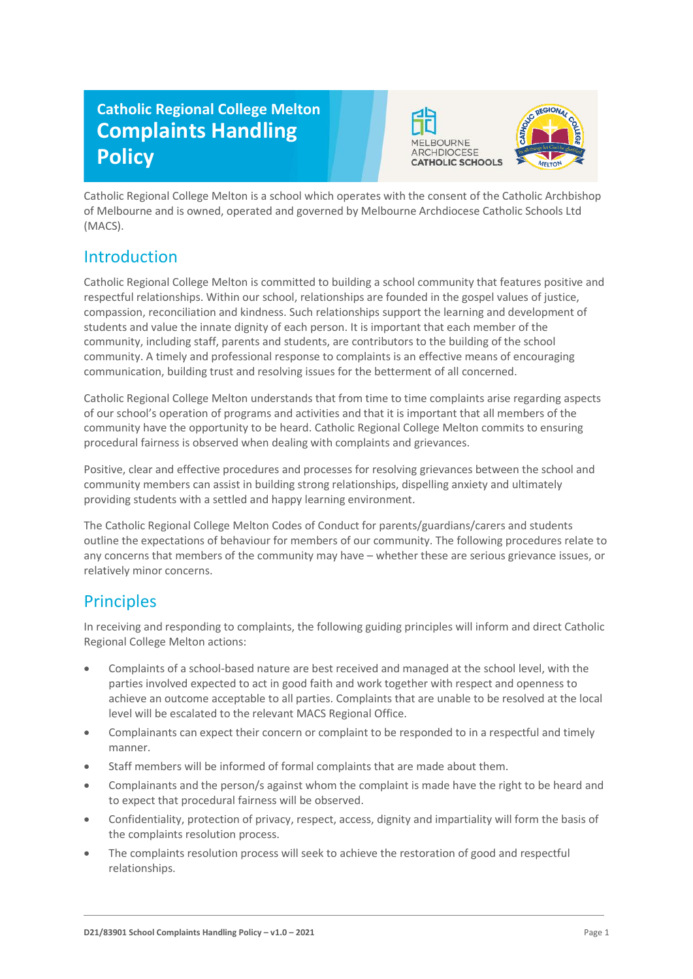# **Catholic Regional College Melton Complaints Handling Policy**





Catholic Regional College Melton is a school which operates with the consent of the Catholic Archbishop of Melbourne and is owned, operated and governed by Melbourne Archdiocese Catholic Schools Ltd (MACS).

### **Introduction**

Catholic Regional College Melton is committed to building a school community that features positive and respectful relationships. Within our school, relationships are founded in the gospel values of justice, compassion, reconciliation and kindness. Such relationships support the learning and development of students and value the innate dignity of each person. It is important that each member of the community, including staff, parents and students, are contributors to the building of the school community. A timely and professional response to complaints is an effective means of encouraging communication, building trust and resolving issues for the betterment of all concerned.

Catholic Regional College Melton understands that from time to time complaints arise regarding aspects of our school's operation of programs and activities and that it is important that all members of the community have the opportunity to be heard. Catholic Regional College Melton commits to ensuring procedural fairness is observed when dealing with complaints and grievances.

Positive, clear and effective procedures and processes for resolving grievances between the school and community members can assist in building strong relationships, dispelling anxiety and ultimately providing students with a settled and happy learning environment.

The Catholic Regional College Melton Codes of Conduct for parents/guardians/carers and students outline the expectations of behaviour for members of our community. The following procedures relate to any concerns that members of the community may have – whether these are serious grievance issues, or relatively minor concerns.

### **Principles**

In receiving and responding to complaints, the following guiding principles will inform and direct Catholic Regional College Melton actions:

- Complaints of a school-based nature are best received and managed at the school level, with the parties involved expected to act in good faith and work together with respect and openness to achieve an outcome acceptable to all parties. Complaints that are unable to be resolved at the local level will be escalated to the relevant MACS Regional Office.
- Complainants can expect their concern or complaint to be responded to in a respectful and timely manner.
- Staff members will be informed of formal complaints that are made about them.
- Complainants and the person/s against whom the complaint is made have the right to be heard and to expect that procedural fairness will be observed.
- Confidentiality, protection of privacy, respect, access, dignity and impartiality will form the basis of the complaints resolution process.
- The complaints resolution process will seek to achieve the restoration of good and respectful relationships.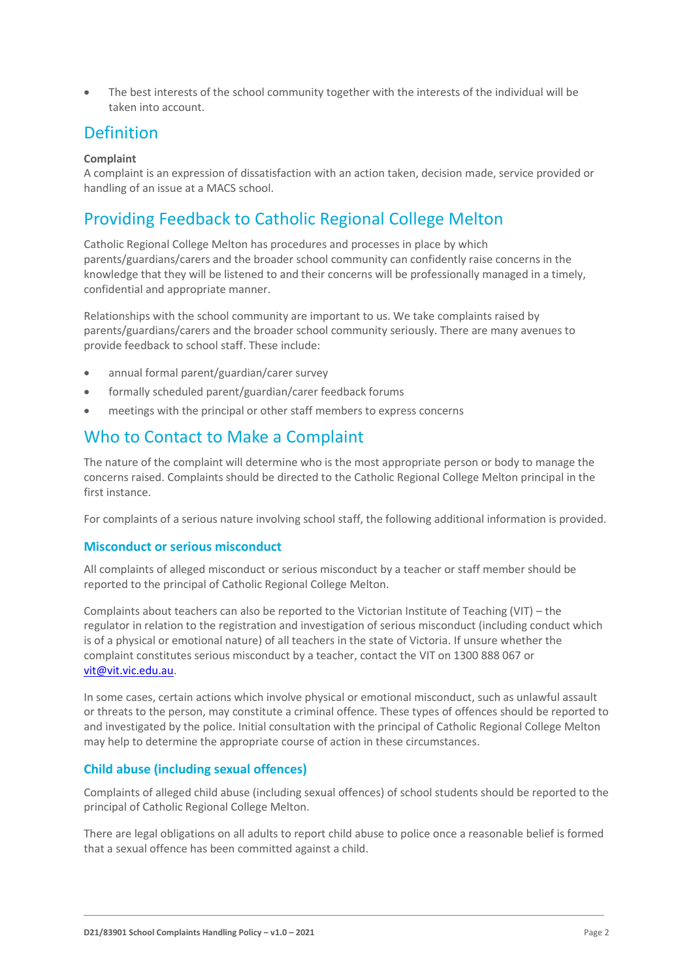• The best interests of the school community together with the interests of the individual will be taken into account.

### **Definition**

#### **Complaint**

A complaint is an expression of dissatisfaction with an action taken, decision made, service provided or handling of an issue at a MACS school.

### Providing Feedback to Catholic Regional College Melton

Catholic Regional College Melton has procedures and processes in place by which parents/guardians/carers and the broader school community can confidently raise concerns in the knowledge that they will be listened to and their concerns will be professionally managed in a timely, confidential and appropriate manner.

Relationships with the school community are important to us. We take complaints raised by parents/guardians/carers and the broader school community seriously. There are many avenues to provide feedback to school staff. These include:

- annual formal parent/guardian/carer survey
- formally scheduled parent/guardian/carer feedback forums
- meetings with the principal or other staff members to express concerns

### Who to Contact to Make a Complaint

The nature of the complaint will determine who is the most appropriate person or body to manage the concerns raised. Complaints should be directed to the Catholic Regional College Melton principal in the first instance.

For complaints of a serious nature involving school staff, the following additional information is provided.

#### **Misconduct or serious misconduct**

All complaints of alleged misconduct or serious misconduct by a teacher or staff member should be reported to the principal of Catholic Regional College Melton.

Complaints about teachers can also be reported to the Victorian Institute of Teaching (VIT) – the regulator in relation to the registration and investigation of serious misconduct (including conduct which is of a physical or emotional nature) of all teachers in the state of Victoria. If unsure whether the complaint constitutes serious misconduct by a teacher, contact the VIT on 1300 888 067 or [vit@vit.vic.edu.au.](mailto:vit@vit.vic.edu.au)

In some cases, certain actions which involve physical or emotional misconduct, such as unlawful assault or threats to the person, may constitute a criminal offence. These types of offences should be reported to and investigated by the police. Initial consultation with the principal of Catholic Regional College Melton may help to determine the appropriate course of action in these circumstances.

#### **Child abuse (including sexual offences)**

Complaints of alleged child abuse (including sexual offences) of school students should be reported to the principal of Catholic Regional College Melton.

There are legal obligations on all adults to report child abuse to police once a reasonable belief is formed that a sexual offence has been committed against a child.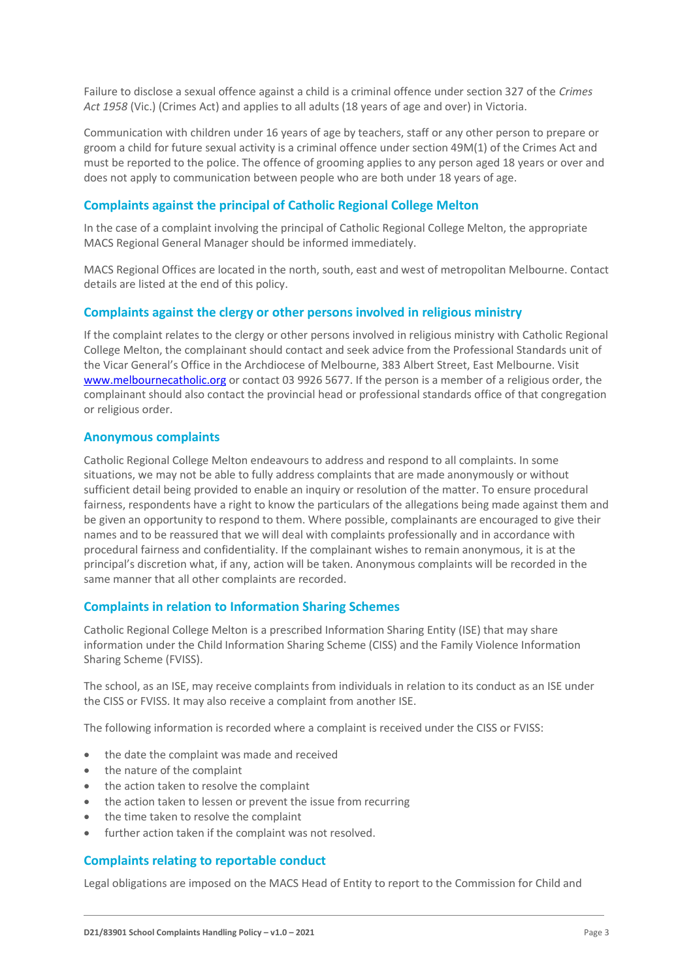Failure to disclose a sexual offence against a child is a criminal offence under section 327 of the *Crimes Act 1958* (Vic.) (Crimes Act) and applies to all adults (18 years of age and over) in Victoria.

Communication with children under 16 years of age by teachers, staff or any other person to prepare or groom a child for future sexual activity is a criminal offence under section 49M(1) of the Crimes Act and must be reported to the police. The offence of grooming applies to any person aged 18 years or over and does not apply to communication between people who are both under 18 years of age.

#### **Complaints against the principal of Catholic Regional College Melton**

In the case of a complaint involving the principal of Catholic Regional College Melton, the appropriate MACS Regional General Manager should be informed immediately.

MACS Regional Offices are located in the north, south, east and west of metropolitan Melbourne. Contact details are listed at the end of this policy.

#### **Complaints against the clergy or other persons involved in religious ministry**

If the complaint relates to the clergy or other persons involved in religious ministry with Catholic Regional College Melton, the complainant should contact and seek advice from the Professional Standards unit of the Vicar General's Office in the Archdiocese of Melbourne, 383 Albert Street, East Melbourne. Visit [www.melbournecatholic.org](http://www.melbournecatholic.org/) or contact 03 9926 5677. If the person is a member of a religious order, the complainant should also contact the provincial head or professional standards office of that congregation or religious order.

#### **Anonymous complaints**

Catholic Regional College Melton endeavours to address and respond to all complaints. In some situations, we may not be able to fully address complaints that are made anonymously or without sufficient detail being provided to enable an inquiry or resolution of the matter. To ensure procedural fairness, respondents have a right to know the particulars of the allegations being made against them and be given an opportunity to respond to them. Where possible, complainants are encouraged to give their names and to be reassured that we will deal with complaints professionally and in accordance with procedural fairness and confidentiality. If the complainant wishes to remain anonymous, it is at the principal's discretion what, if any, action will be taken. Anonymous complaints will be recorded in the same manner that all other complaints are recorded.

#### **Complaints in relation to Information Sharing Schemes**

Catholic Regional College Melton is a prescribed Information Sharing Entity (ISE) that may share information under the Child Information Sharing Scheme (CISS) and the Family Violence Information Sharing Scheme (FVISS).

The school, as an ISE, may receive complaints from individuals in relation to its conduct as an ISE under the CISS or FVISS. It may also receive a complaint from another ISE.

The following information is recorded where a complaint is received under the CISS or FVISS:

- the date the complaint was made and received
- the nature of the complaint
- the action taken to resolve the complaint
- the action taken to lessen or prevent the issue from recurring
- the time taken to resolve the complaint
- further action taken if the complaint was not resolved.

#### **Complaints relating to reportable conduct**

Legal obligations are imposed on the MACS Head of Entity to report to the Commission for Child and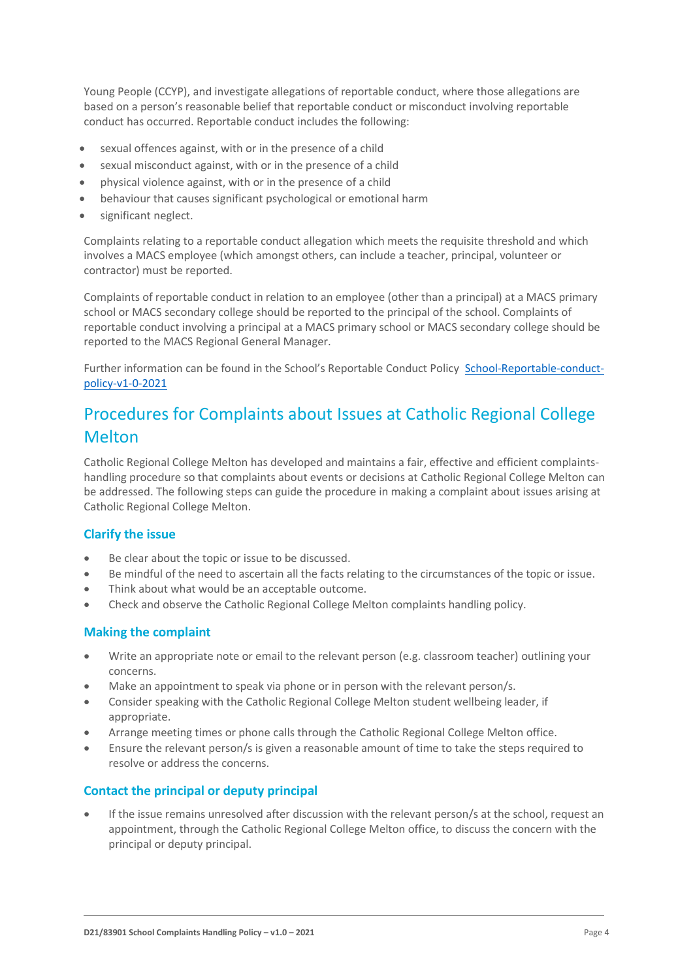Young People (CCYP), and investigate allegations of reportable conduct, where those allegations are based on a person's reasonable belief that reportable conduct or misconduct involving reportable conduct has occurred. Reportable conduct includes the following:

- sexual offences against, with or in the presence of a child
- sexual misconduct against, with or in the presence of a child
- physical violence against, with or in the presence of a child
- behaviour that causes significant psychological or emotional harm
- significant neglect.

Complaints relating to a reportable conduct allegation which meets the requisite threshold and which involves a MACS employee (which amongst others, can include a teacher, principal, volunteer or contractor) must be reported.

Complaints of reportable conduct in relation to an employee (other than a principal) at a MACS primary school or MACS secondary college should be reported to the principal of the school. Complaints of reportable conduct involving a principal at a MACS primary school or MACS secondary college should be reported to the MACS Regional General Manager.

Further information can be found in the School's Reportable Conduct Policy [School-Reportable-conduct](../CHILD%20SAFETY/School-Reportable-conduct-policy-v1-0-2021.pdf)[policy-v1-0-2021](../CHILD%20SAFETY/School-Reportable-conduct-policy-v1-0-2021.pdf)

## Procedures for Complaints about Issues at Catholic Regional College Melton

Catholic Regional College Melton has developed and maintains a fair, effective and efficient complaintshandling procedure so that complaints about events or decisions at Catholic Regional College Melton can be addressed. The following steps can guide the procedure in making a complaint about issues arising at Catholic Regional College Melton.

#### **Clarify the issue**

- Be clear about the topic or issue to be discussed.
- Be mindful of the need to ascertain all the facts relating to the circumstances of the topic or issue.
- Think about what would be an acceptable outcome.
- Check and observe the Catholic Regional College Melton complaints handling policy.

#### **Making the complaint**

- Write an appropriate note or email to the relevant person (e.g. classroom teacher) outlining your concerns.
- Make an appointment to speak via phone or in person with the relevant person/s.
- Consider speaking with the Catholic Regional College Melton student wellbeing leader, if appropriate.
- Arrange meeting times or phone calls through the Catholic Regional College Melton office.
- Ensure the relevant person/s is given a reasonable amount of time to take the steps required to resolve or address the concerns.

#### **Contact the principal or deputy principal**

If the issue remains unresolved after discussion with the relevant person/s at the school, request an appointment, through the Catholic Regional College Melton office, to discuss the concern with the principal or deputy principal.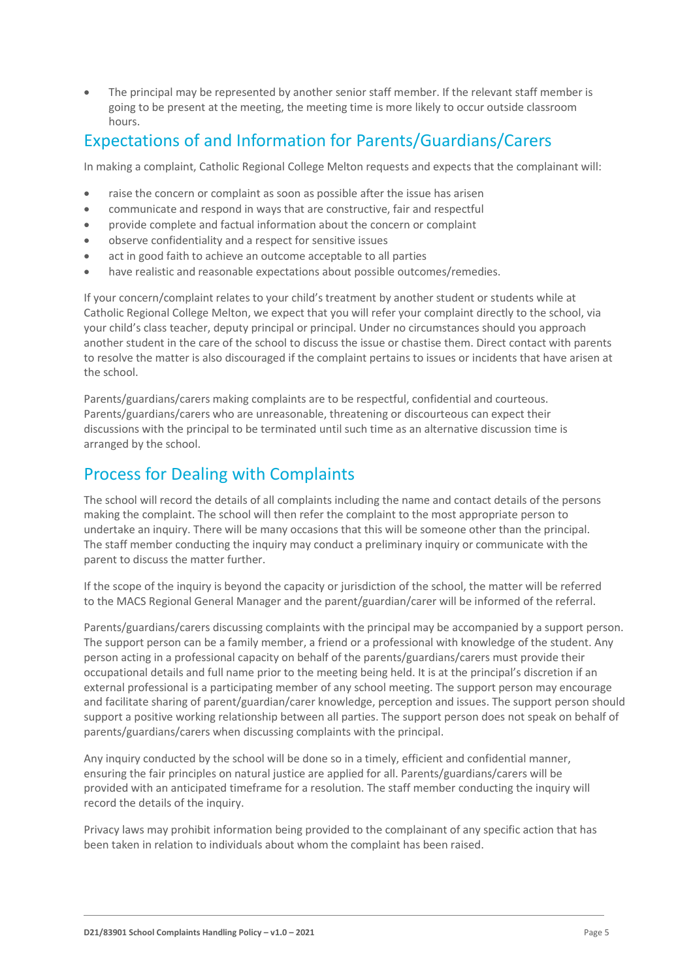The principal may be represented by another senior staff member. If the relevant staff member is going to be present at the meeting, the meeting time is more likely to occur outside classroom hours.

### Expectations of and Information for Parents/Guardians/Carers

In making a complaint, Catholic Regional College Melton requests and expects that the complainant will:

- raise the concern or complaint as soon as possible after the issue has arisen
- communicate and respond in ways that are constructive, fair and respectful
- provide complete and factual information about the concern or complaint
- observe confidentiality and a respect for sensitive issues
- act in good faith to achieve an outcome acceptable to all parties
- have realistic and reasonable expectations about possible outcomes/remedies.

If your concern/complaint relates to your child's treatment by another student or students while at Catholic Regional College Melton, we expect that you will refer your complaint directly to the school, via your child's class teacher, deputy principal or principal. Under no circumstances should you approach another student in the care of the school to discuss the issue or chastise them. Direct contact with parents to resolve the matter is also discouraged if the complaint pertains to issues or incidents that have arisen at the school.

Parents/guardians/carers making complaints are to be respectful, confidential and courteous. Parents/guardians/carers who are unreasonable, threatening or discourteous can expect their discussions with the principal to be terminated until such time as an alternative discussion time is arranged by the school.

### Process for Dealing with Complaints

The school will record the details of all complaints including the name and contact details of the persons making the complaint. The school will then refer the complaint to the most appropriate person to undertake an inquiry. There will be many occasions that this will be someone other than the principal. The staff member conducting the inquiry may conduct a preliminary inquiry or communicate with the parent to discuss the matter further.

If the scope of the inquiry is beyond the capacity or jurisdiction of the school, the matter will be referred to the MACS Regional General Manager and the parent/guardian/carer will be informed of the referral.

Parents/guardians/carers discussing complaints with the principal may be accompanied by a support person. The support person can be a family member, a friend or a professional with knowledge of the student. Any person acting in a professional capacity on behalf of the parents/guardians/carers must provide their occupational details and full name prior to the meeting being held. It is at the principal's discretion if an external professional is a participating member of any school meeting. The support person may encourage and facilitate sharing of parent/guardian/carer knowledge, perception and issues. The support person should support a positive working relationship between all parties. The support person does not speak on behalf of parents/guardians/carers when discussing complaints with the principal.

Any inquiry conducted by the school will be done so in a timely, efficient and confidential manner, ensuring the fair principles on natural justice are applied for all. Parents/guardians/carers will be provided with an anticipated timeframe for a resolution. The staff member conducting the inquiry will record the details of the inquiry.

Privacy laws may prohibit information being provided to the complainant of any specific action that has been taken in relation to individuals about whom the complaint has been raised.